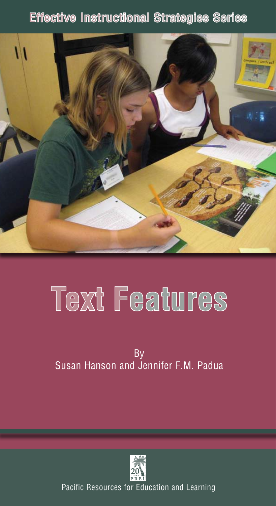### Effective Instructional Strategies Series



# **Text Features**

#### By Susan Hanson and Jennifer F.M. Padua



Pacific Resources for Education and Learning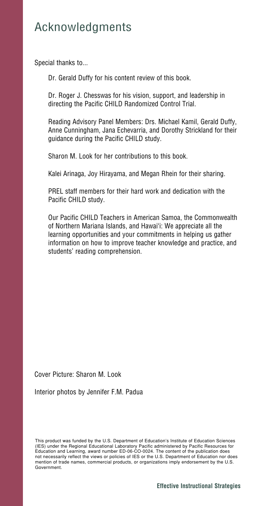#### Acknowledgments

Special thanks to...

Dr. Gerald Duffy for his content review of this book.

Dr. Roger J. Chesswas for his vision, support, and leadership in directing the Pacific CHILD Randomized Control Trial.

Reading Advisory Panel Members: Drs. Michael Kamil, Gerald Duffy, Anne Cunningham, Jana Echevarria, and Dorothy Strickland for their guidance during the Pacific CHILD study.

Sharon M. Look for her contributions to this book.

Kalei Arinaga, Joy Hirayama, and Megan Rhein for their sharing.

PREL staff members for their hard work and dedication with the Pacific CHILD study.

Our Pacific CHILD Teachers in American Samoa, the Commonwealth of Northern Mariana Islands, and Hawai'i: We appreciate all the learning opportunities and your commitments in helping us gather information on how to improve teacher knowledge and practice, and students' reading comprehension.

Cover Picture: Sharon M. Look

Interior photos by Jennifer F.M. Padua

This product was funded by the U.S. Department of Education's Institute of Education Sciences (IES) under the Regional Educational Laboratory Pacific administered by Pacific Resources for Education and Learning, award number ED-06-CO-0024. The content of the publication does not necessarily reflect the views or policies of IES or the U.S. Department of Education nor does mention of trade names, commercial products, or organizations imply endorsement by the U.S. Government.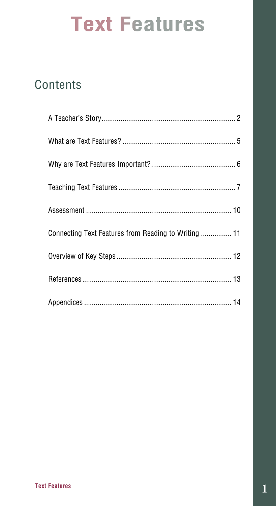# **Text Features**

# **Contents**

| Connecting Text Features from Reading to Writing  11 |
|------------------------------------------------------|
|                                                      |
|                                                      |
|                                                      |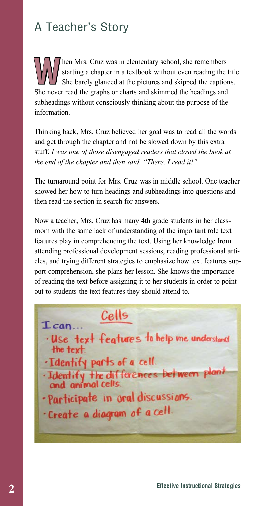## A Teacher's Story

Then Mrs. Cruz was in elementary school, she remembers starting a chapter in a textbook without even reading the title She barely glanced at the pictures and skipped the captions. starting a chapter in a textbook without even reading the title. She never read the graphs or charts and skimmed the headings and subheadings without consciously thinking about the purpose of the information.

Thinking back, Mrs. Cruz believed her goal was to read all the words and get through the chapter and not be slowed down by this extra stuff. *I was one of those disengaged readers that closed the book at the end of the chapter and then said, "There, I read it!"*

The turnaround point for Mrs. Cruz was in middle school. One teacher showed her how to turn headings and subheadings into questions and then read the section in search for answers.

Now a teacher, Mrs. Cruz has many 4th grade students in her classroom with the same lack of understanding of the important role text features play in comprehending the text. Using her knowledge from attending professional development sessions, reading professional articles, and trying different strategies to emphasize how text features support comprehension, she plans her lesson. She knows the importance of reading the text before assigning it to her students in order to point out to students the text features they should attend to.

Cells  $I can$ . · Use text features to help me understand the text ·Identify parts of a cell. · Identify the differences between plant and animal cells. - Participate in oral discussions. · Create a diagram of a cell.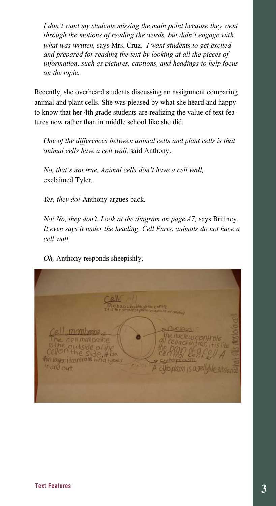*I don't want my students missing the main point because they went through the motions of reading the words, but didn't engage with what was written,* says Mrs. Cruz. *I want students to get excited and prepared for reading the text by looking at all the pieces of information, such as pictures, captions, and headings to help focus on the topic.* 

Recently, she overheard students discussing an assignment comparing animal and plant cells. She was pleased by what she heard and happy to know that her 4th grade students are realizing the value of text features now rather than in middle school like she did.

*One of the differences between animal cells and plant cells is that animal cells have a cell wall,* said Anthony.

*No, that's not true. Animal cells don't have a cell wall,* exclaimed Tyler.

*Yes, they do!* Anthony argues back*.* 

*No! No, they don't. Look at the diagram on page A7,* says Brittney. *It even says it under the heading, Cell Parts, animals do not have a cell wall.*

*Oh,* Anthony responds sheepishly.

ablock of <sup>6</sup>ft<br>Phi*n a chun* controls wi In and ou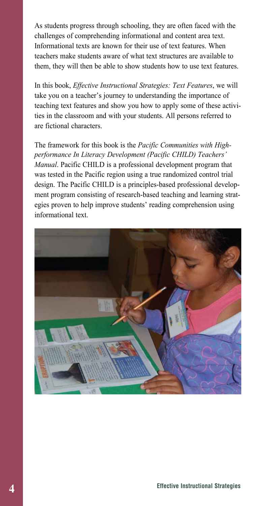As students progress through schooling, they are often faced with the challenges of comprehending informational and content area text. Informational texts are known for their use of text features. When teachers make students aware of what text structures are available to them, they will then be able to show students how to use text features.

In this book, *Effective Instructional Strategies: Text Features*, we will take you on a teacher's journey to understanding the importance of teaching text features and show you how to apply some of these activities in the classroom and with your students. All persons referred to are fictional characters.

The framework for this book is the *Pacific Communities with Highperformance In Literacy Development (Pacific CHILD) Teachers' Manual*. Pacific CHILD is a professional development program that was tested in the Pacific region using a true randomized control trial design. The Pacific CHILD is a principles-based professional development program consisting of research-based teaching and learning strategies proven to help improve students' reading comprehension using informational text.

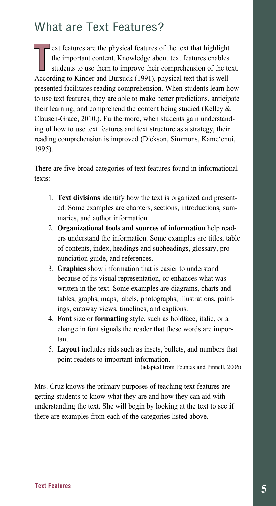### What are Text Features?

**T** ext features are the physical features of the text that highlight the important content. Knowledge about text features enables students to use them to improve their comprehension of the text. According to Kinder and Bursuck (1991), physical text that is well presented facilitates reading comprehension. When students learn how to use text features, they are able to make better predictions, anticipate their learning, and comprehend the content being studied (Kelley & Clausen-Grace, 2010.). Furthermore, when students gain understanding of how to use text features and text structure as a strategy, their reading comprehension is improved (Dickson, Simmons, Kame'enui, 1995).

There are five broad categories of text features found in informational texts:

- 1. **Text divisions** identify how the text is organized and presented. Some examples are chapters, sections, introductions, summaries, and author information.
- 2. **Organizational tools and sources of information** help readers understand the information. Some examples are titles, table of contents, index, headings and subheadings, glossary, pronunciation guide, and references.
- 3. **Graphics** show information that is easier to understand because of its visual representation, or enhances what was written in the text. Some examples are diagrams, charts and tables, graphs, maps, labels, photographs, illustrations, paintings, cutaway views, timelines, and captions.
- 4. **Font** size or **formatting** style, such as boldface, italic, or a change in font signals the reader that these words are important.
- 5. **Layout** includes aids such as insets, bullets, and numbers that point readers to important information.

(adapted from Fountas and Pinnell, 2006)

Mrs. Cruz knows the primary purposes of teaching text features are getting students to know what they are and how they can aid with understanding the text. She will begin by looking at the text to see if there are examples from each of the categories listed above.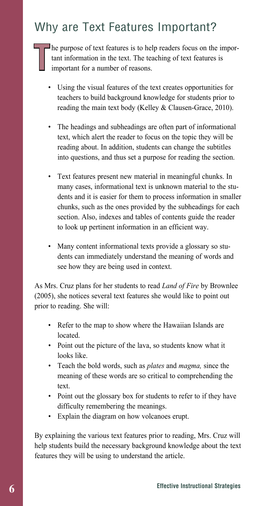# Why are Text Features Important?

**T** he purpose of text features is to help readers focus on the important information in the text. The teaching of text features is important for a number of reasons.

- • Using the visual features of the text creates opportunities for teachers to build background knowledge for students prior to reading the main text body (Kelley & Clausen-Grace, 2010).
- The headings and subheadings are often part of informational text, which alert the reader to focus on the topic they will be reading about. In addition, students can change the subtitles into questions, and thus set a purpose for reading the section.
- • Text features present new material in meaningful chunks. In many cases, informational text is unknown material to the students and it is easier for them to process information in smaller chunks, such as the ones provided by the subheadings for each section. Also, indexes and tables of contents guide the reader to look up pertinent information in an efficient way.
- Many content informational texts provide a glossary so students can immediately understand the meaning of words and see how they are being used in context.

As Mrs. Cruz plans for her students to read *Land of Fire* by Brownlee (2005), she notices several text features she would like to point out prior to reading. She will:

- Refer to the map to show where the Hawaiian Islands are located.
- Point out the picture of the lava, so students know what it looks like.
- • Teach the bold words, such as *plates* and *magma,* since the meaning of these words are so critical to comprehending the text.
- Point out the glossary box for students to refer to if they have difficulty remembering the meanings.
- • Explain the diagram on how volcanoes erupt.

By explaining the various text features prior to reading, Mrs. Cruz will help students build the necessary background knowledge about the text features they will be using to understand the article.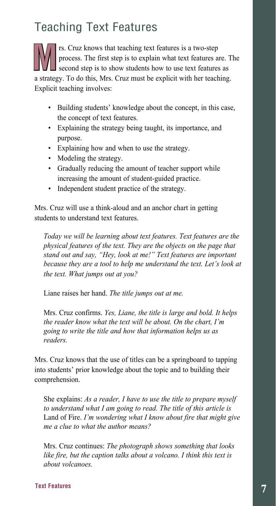# Teaching Text Features

**M**rs. Cruz knows that teaching text features is a two-step process. The first step is to explain what text features are. The second step is to show students how to use text features as a strategy. To do this, Mrs. Cruz must be explicit with her teaching. Explicit teaching involves:

- • Building students' knowledge about the concept, in this case, the concept of text features.
- Explaining the strategy being taught, its importance, and purpose.
- • Explaining how and when to use the strategy.
- Modeling the strategy.
- Gradually reducing the amount of teacher support while increasing the amount of student-guided practice.
- Independent student practice of the strategy.

Mrs. Cruz will use a think-aloud and an anchor chart in getting students to understand text features.

*Today we will be learning about text features. Text features are the physical features of the text. They are the objects on the page that stand out and say, "Hey, look at me!" Text features are important because they are a tool to help me understand the text. Let's look at the text. What jumps out at you?*

Liane raises her hand. *The title jumps out at me.*

Mrs. Cruz confirms. *Yes, Liane, the title is large and bold. It helps the reader know what the text will be about. On the chart, I'm going to write the title and how that information helps us as readers.* 

Mrs. Cruz knows that the use of titles can be a springboard to tapping into students' prior knowledge about the topic and to building their comprehension.

She explains: *As a reader, I have to use the title to prepare myself to understand what I am going to read. The title of this article is*  Land of Fire. *I'm wondering what I know about fire that might give me a clue to what the author means?* 

Mrs. Cruz continues: *The photograph shows something that looks like fire, but the caption talks about a volcano. I think this text is about volcanoes.*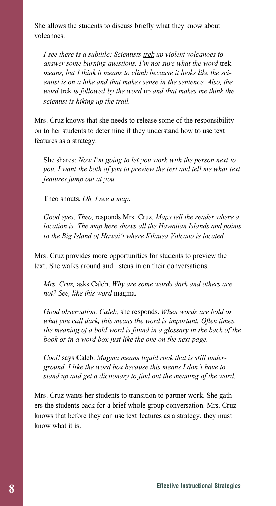She allows the students to discuss briefly what they know about volcanoes.

*I see there is a subtitle: Scientists trek up violent volcanoes to answer some burning questions. I'm not sure what the word trek means, but I think it means to climb because it looks like the scientist is on a hike and that makes sense in the sentence. Also, the word* trek *is followed by the word* up *and that makes me think the scientist is hiking up the trail.* 

Mrs. Cruz knows that she needs to release some of the responsibility on to her students to determine if they understand how to use text features as a strategy.

She shares: *Now I'm going to let you work with the person next to you. I want the both of you to preview the text and tell me what text features jump out at you.* 

Theo shouts, *Oh, I see a map*.

*Good eyes, Theo,* responds Mrs. Cruz*. Maps tell the reader where a location is. The map here shows all the Hawaiian Islands and points to the Big Island of Hawai'i where Kilauea Volcano is located.* 

Mrs. Cruz provides more opportunities for students to preview the text. She walks around and listens in on their conversations.

*Mrs. Cruz,* asks Caleb, *Why are some words dark and others are not? See, like this word* magma.

*Good observation, Caleb,* she responds. *When words are bold or what you call dark, this means the word is important. Often times, the meaning of a bold word is found in a glossary in the back of the book or in a word box just like the one on the next page.* 

*Cool!* says Caleb. *Magma means liquid rock that is still underground. I like the word box because this means I don't have to stand up and get a dictionary to find out the meaning of the word.* 

Mrs. Cruz wants her students to transition to partner work. She gathers the students back for a brief whole group conversation. Mrs. Cruz knows that before they can use text features as a strategy, they must know what it is.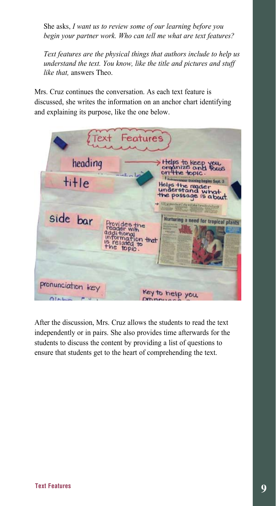She asks, *I want us to review some of our learning before you begin your partner work. Who can tell me what are text features?* 

*Text features are the physical things that authors include to help us understand the text. You know, like the title and pictures and stuff like that,* answers Theo.

Mrs. Cruz continues the conversation. As each text feature is discussed, she writes the information on an anchor chart identifying and explaining its purpose, like the one below.



After the discussion, Mrs. Cruz allows the students to read the text independently or in pairs. She also provides time afterwards for the students to discuss the content by providing a list of questions to ensure that students get to the heart of comprehending the text.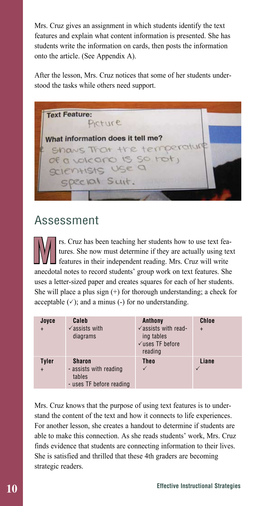Mrs. Cruz gives an assignment in which students identify the text features and explain what content information is presented. She has students write the information on cards, then posts the information onto the article. (See Appendix A).

After the lesson, Mrs. Cruz notices that some of her students understood the tasks while others need support.



#### Assessment

**MARRICHT ARRICHT AND THE STAR CRUZ HAS been teaching her students how to use text features. She now must determine if they are actually using text features in their independent reading. Mrs. Cruz will write** tures. She now must determine if they are actually using text anecdotal notes to record students' group work on text features. She uses a letter-sized paper and creates squares for each of her students. She will place a plus sign (+) for thorough understanding; a check for acceptable  $(\checkmark)$ ; and a minus (-) for no understanding.

| Joyce<br>$+$               | Caleb<br>$\checkmark$ assists with<br>diagrams                                | <b>Anthony</b><br>$\checkmark$ assists with read-<br>ing tables<br>$\checkmark$ uses TF before<br>reading | <b>Chloe</b><br>$\ddot{}$ |
|----------------------------|-------------------------------------------------------------------------------|-----------------------------------------------------------------------------------------------------------|---------------------------|
| <b>Tyler</b><br>$\ddagger$ | <b>Sharon</b><br>- assists with reading<br>tables<br>- uses TF before reading | <b>Theo</b>                                                                                               | Liane<br>$\checkmark$     |

Mrs. Cruz knows that the purpose of using text features is to understand the content of the text and how it connects to life experiences. For another lesson, she creates a handout to determine if students are able to make this connection. As she reads students' work, Mrs. Cruz finds evidence that students are connecting information to their lives. She is satisfied and thrilled that these 4th graders are becoming strategic readers.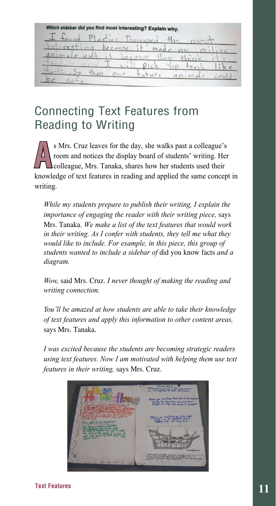|       | Which sidebar did you find most interesting? Explain why. |                 |                 |        |  |
|-------|-----------------------------------------------------------|-----------------|-----------------|--------|--|
| tound |                                                           | Plastics Dunner |                 |        |  |
| 117   | resfinal                                                  | because it      |                 | made n |  |
|       |                                                           |                 | <b>Inecause</b> |        |  |
|       |                                                           |                 |                 |        |  |
|       |                                                           | 045             |                 |        |  |

#### Connecting Text Features from Reading to Writing

S Mrs. Cruz leaves for the day, she walks past a colleague's room and notices the display board of students' writing. Her colleague, Mrs. Tanaka, shares how her students used their room and notices the display board of students' writing. Her colleague, Mrs. Tanaka, shares how her students used their knowledge of text features in reading and applied the same concept in writing.

*While my students prepare to publish their writing, I explain the importance of engaging the reader with their writing piece,* says Mrs. Tanaka. *We make a list of the text features that would work in their writing. As I confer with students, they tell me what they would like to include. For example, in this piece, this group of students wanted to include a sidebar of* did you know facts *and a diagram.*

*Wow,* said Mrs. Cruz. *I never thought of making the reading and writing connection.*

*You'll be amazed at how students are able to take their knowledge of text features and apply this information to other content areas,*  says Mrs. Tanaka.

*I was excited because the students are becoming strategic readers using text features. Now I am motivated with helping them use text features in their writing,* says Mrs. Cruz.

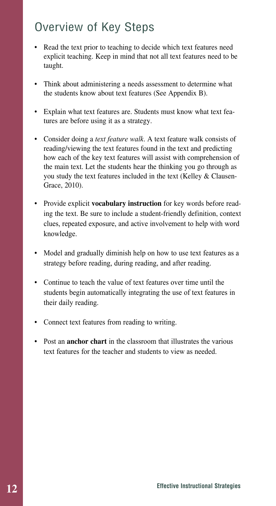#### Overview of Key Steps

- Read the text prior to teaching to decide which text features need explicit teaching. Keep in mind that not all text features need to be taught.
- Think about administering a needs assessment to determine what the students know about text features (See Appendix B).
- • Explain what text features are. Students must know what text features are before using it as a strategy.
- Consider doing a *text feature walk*. A text feature walk consists of reading/viewing the text features found in the text and predicting how each of the key text features will assist with comprehension of the main text. Let the students hear the thinking you go through as you study the text features included in the text (Kelley & Clausen-Grace, 2010).
- • Provide explicit **vocabulary instruction** for key words before reading the text. Be sure to include a student-friendly definition, context clues, repeated exposure, and active involvement to help with word knowledge.
- Model and gradually diminish help on how to use text features as a strategy before reading, during reading, and after reading.
- Continue to teach the value of text features over time until the students begin automatically integrating the use of text features in their daily reading.
- Connect text features from reading to writing.
- Post an **anchor chart** in the classroom that illustrates the various text features for the teacher and students to view as needed.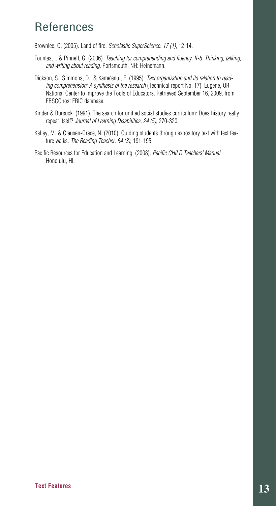#### References

Brownlee, C. (2005). Land of fire. *Scholastic SuperScience. 17 (1)*, 12-14.

- Fountas, I. & Pinnell, G. (2006). *Teaching for comprehending and fluency, K-8: Thinking, talking, and writing about reading.* Portsmouth, NH: Heinemann.
- Dickson, S., Simmons, D., & Kame'enui, E. (1995). *Text organization and its relation to reading comprehension: A synthesis of the research* (Technical report No. 17). Eugene, OR: National Center to Improve the Tools of Educators. Retrieved September 16, 2009, from EBSCOhost ERIC database.
- Kinder & Bursuck. (1991). The search for unified social studies curriculum: Does history really repeat itself? *Journal of Learning Disabilities. 24 (5)*, 270-320.
- Kelley, M. & Clausen-Grace, N. (2010). Guiding students through expository text with text feature walks. *The Reading Teacher, 64 (3)*, 191-195.
- Pacific Resources for Education and Learning. (2008). *Pacific CHILD Teachers' Manual.*  Honolulu, HI.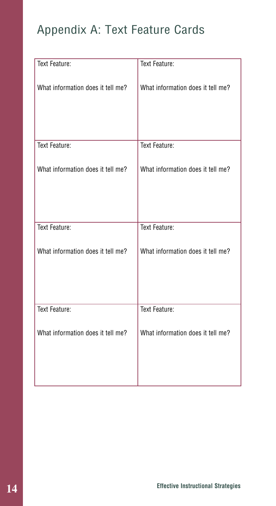# Appendix A: Text Feature Cards

| Text Feature:                     | Text Feature:                     |
|-----------------------------------|-----------------------------------|
|                                   |                                   |
|                                   |                                   |
| What information does it tell me? | What information does it tell me? |
|                                   |                                   |
|                                   |                                   |
|                                   |                                   |
|                                   |                                   |
|                                   |                                   |
|                                   |                                   |
|                                   |                                   |
| Text Feature:                     | Text Feature:                     |
|                                   |                                   |
|                                   |                                   |
| What information does it tell me? | What information does it tell me? |
|                                   |                                   |
|                                   |                                   |
|                                   |                                   |
|                                   |                                   |
|                                   |                                   |
|                                   |                                   |
| Text Feature:                     | Text Feature:                     |
|                                   |                                   |
|                                   |                                   |
| What information does it tell me? | What information does it tell me? |
|                                   |                                   |
|                                   |                                   |
|                                   |                                   |
|                                   |                                   |
|                                   |                                   |
|                                   |                                   |
|                                   |                                   |
| Text Feature:                     | <b>Text Feature:</b>              |
|                                   |                                   |
|                                   |                                   |
|                                   |                                   |
| What information does it tell me? | What information does it tell me? |
|                                   |                                   |
|                                   |                                   |
|                                   |                                   |
|                                   |                                   |
|                                   |                                   |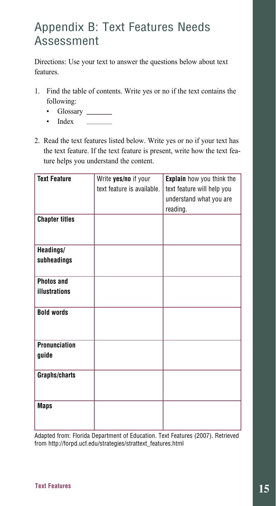#### Appendix B: Text Features Needs Assessment

Directions: Use your text to answer the questions below about text features.

- 1. Find the table of contents. Write yes or no if the text contains the following:
	- Glossary \_\_\_\_\_\_\_
	- $\frac{1}{2}$  and  $\frac{1}{2}$ • Index
- 2. Read the text features listed below. Write yes or no if your text has the text feature. If the text feature is present, write how the text feature helps you understand the content.

| <b>Text Feature</b>   | Write yes/no if your       | <b>Explain</b> how you think the |
|-----------------------|----------------------------|----------------------------------|
|                       | text feature is available. | text feature will help you       |
|                       |                            | understand what you are          |
|                       |                            | reading.                         |
| <b>Chapter titles</b> |                            |                                  |
|                       |                            |                                  |
|                       |                            |                                  |
| Headings/             |                            |                                  |
| subheadings           |                            |                                  |
|                       |                            |                                  |
| <b>Photos and</b>     |                            |                                  |
| <b>illustrations</b>  |                            |                                  |
|                       |                            |                                  |
| <b>Bold words</b>     |                            |                                  |
|                       |                            |                                  |
|                       |                            |                                  |
| <b>Pronunciation</b>  |                            |                                  |
| guide                 |                            |                                  |
|                       |                            |                                  |
| <b>Graphs/charts</b>  |                            |                                  |
|                       |                            |                                  |
|                       |                            |                                  |
| <b>Maps</b>           |                            |                                  |
|                       |                            |                                  |
|                       |                            |                                  |

Adapted from: Florida Department of Education. Text Features (2007). Retrieved from http://forpd.ucf.edu/strategies/strattext\_features.html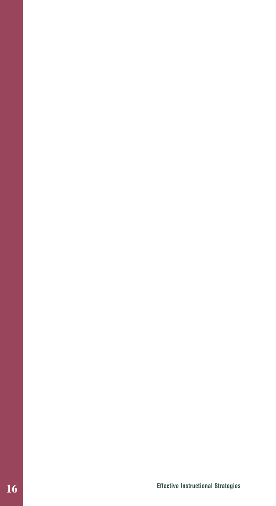**Effective Instructional Strategies**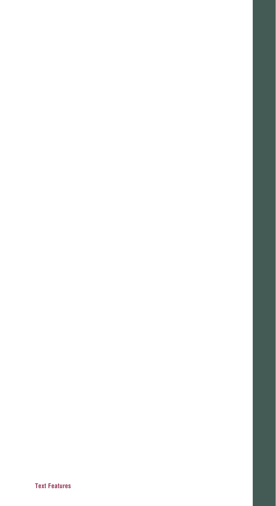**Text Features**